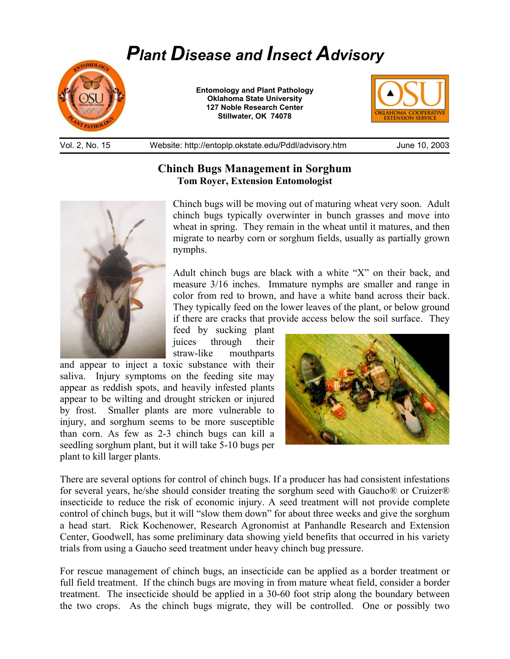# *Plant Disease and Insect Advisory*



**Entomology and Plant Pathology Oklahoma State University 127 Noble Research Center Stillwater, OK 74078** 



Vol. 2, No. 15 Website: http://entoplp.okstate.edu/Pddl/advisory.htm June 10, 2003

## **Chinch Bugs Management in Sorghum Tom Royer, Extension Entomologist**



Chinch bugs will be moving out of maturing wheat very soon. Adult chinch bugs typically overwinter in bunch grasses and move into wheat in spring. They remain in the wheat until it matures, and then migrate to nearby corn or sorghum fields, usually as partially grown nymphs.

Adult chinch bugs are black with a white "X" on their back, and measure 3/16 inches. Immature nymphs are smaller and range in color from red to brown, and have a white band across their back. They typically feed on the lower leaves of the plant, or below ground if there are cracks that provide access below the soil surface. They

feed by sucking plant juices through their straw-like mouthparts

and appear to inject a toxic substance with their saliva. Injury symptoms on the feeding site may appear as reddish spots, and heavily infested plants appear to be wilting and drought stricken or injured by frost. Smaller plants are more vulnerable to injury, and sorghum seems to be more susceptible than corn. As few as 2-3 chinch bugs can kill a seedling sorghum plant, but it will take 5-10 bugs per plant to kill larger plants.



There are several options for control of chinch bugs. If a producer has had consistent infestations for several years, he/she should consider treating the sorghum seed with Gaucho® or Cruizer® insecticide to reduce the risk of economic injury. A seed treatment will not provide complete control of chinch bugs, but it will "slow them down" for about three weeks and give the sorghum a head start. Rick Kochenower, Research Agronomist at Panhandle Research and Extension Center, Goodwell, has some preliminary data showing yield benefits that occurred in his variety trials from using a Gaucho seed treatment under heavy chinch bug pressure.

For rescue management of chinch bugs, an insecticide can be applied as a border treatment or full field treatment. If the chinch bugs are moving in from mature wheat field, consider a border treatment. The insecticide should be applied in a 30-60 foot strip along the boundary between the two crops. As the chinch bugs migrate, they will be controlled. One or possibly two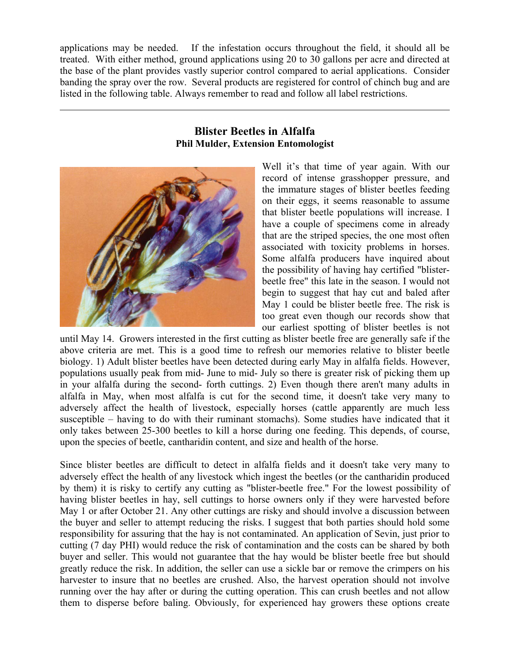applications may be needed. If the infestation occurs throughout the field, it should all be treated. With either method, ground applications using 20 to 30 gallons per acre and directed at the base of the plant provides vastly superior control compared to aerial applications. Consider banding the spray over the row. Several products are registered for control of chinch bug and are listed in the following table. Always remember to read and follow all label restrictions.

### **Blister Beetles in Alfalfa Phil Mulder, Extension Entomologist**



 $\overline{a}$ 

Well it's that time of year again. With our record of intense grasshopper pressure, and the immature stages of blister beetles feeding on their eggs, it seems reasonable to assume that blister beetle populations will increase. I have a couple of specimens come in already that are the striped species, the one most often associated with toxicity problems in horses. Some alfalfa producers have inquired about the possibility of having hay certified "blisterbeetle free" this late in the season. I would not begin to suggest that hay cut and baled after May 1 could be blister beetle free. The risk is too great even though our records show that our earliest spotting of blister beetles is not

until May 14. Growers interested in the first cutting as blister beetle free are generally safe if the above criteria are met. This is a good time to refresh our memories relative to blister beetle biology. 1) Adult blister beetles have been detected during early May in alfalfa fields. However, populations usually peak from mid- June to mid- July so there is greater risk of picking them up in your alfalfa during the second- forth cuttings. 2) Even though there aren't many adults in alfalfa in May, when most alfalfa is cut for the second time, it doesn't take very many to adversely affect the health of livestock, especially horses (cattle apparently are much less susceptible – having to do with their ruminant stomachs). Some studies have indicated that it only takes between 25-300 beetles to kill a horse during one feeding. This depends, of course, upon the species of beetle, cantharidin content, and size and health of the horse.

Since blister beetles are difficult to detect in alfalfa fields and it doesn't take very many to adversely effect the health of any livestock which ingest the beetles (or the cantharidin produced by them) it is risky to certify any cutting as "blister-beetle free." For the lowest possibility of having blister beetles in hay, sell cuttings to horse owners only if they were harvested before May 1 or after October 21. Any other cuttings are risky and should involve a discussion between the buyer and seller to attempt reducing the risks. I suggest that both parties should hold some responsibility for assuring that the hay is not contaminated. An application of Sevin, just prior to cutting (7 day PHI) would reduce the risk of contamination and the costs can be shared by both buyer and seller. This would not guarantee that the hay would be blister beetle free but should greatly reduce the risk. In addition, the seller can use a sickle bar or remove the crimpers on his harvester to insure that no beetles are crushed. Also, the harvest operation should not involve running over the hay after or during the cutting operation. This can crush beetles and not allow them to disperse before baling. Obviously, for experienced hay growers these options create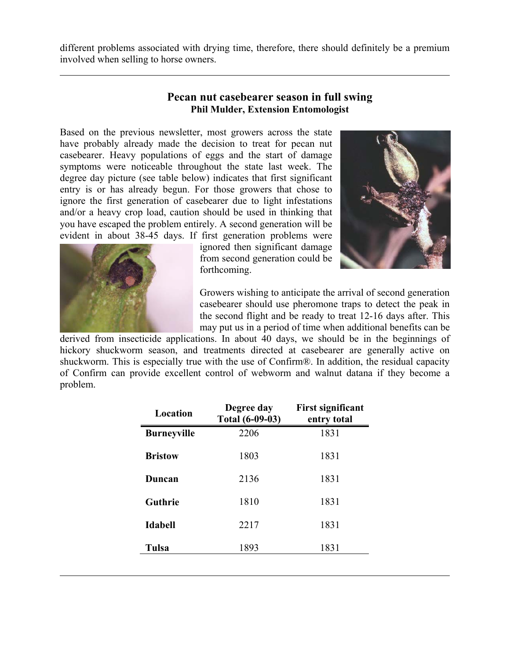different problems associated with drying time, therefore, there should definitely be a premium involved when selling to horse owners.

#### **Pecan nut casebearer season in full swing Phil Mulder, Extension Entomologist**

Based on the previous newsletter, most growers across the state have probably already made the decision to treat for pecan nut casebearer. Heavy populations of eggs and the start of damage symptoms were noticeable throughout the state last week. The degree day picture (see table below) indicates that first significant entry is or has already begun. For those growers that chose to ignore the first generation of casebearer due to light infestations and/or a heavy crop load, caution should be used in thinking that you have escaped the problem entirely. A second generation will be evident in about 38-45 days. If first generation problems were





 $\overline{a}$ 

 $\overline{a}$ 

ignored then significant damage from second generation could be forthcoming.

Growers wishing to anticipate the arrival of second generation casebearer should use pheromone traps to detect the peak in the second flight and be ready to treat 12-16 days after. This may put us in a period of time when additional benefits can be

derived from insecticide applications. In about 40 days, we should be in the beginnings of hickory shuckworm season, and treatments directed at casebearer are generally active on shuckworm. This is especially true with the use of Confirm®. In addition, the residual capacity of Confirm can provide excellent control of webworm and walnut datana if they become a problem.

| Location           | Degree day<br><b>Total (6-09-03)</b> | First significant<br>entry total |
|--------------------|--------------------------------------|----------------------------------|
| <b>Burneyville</b> | 2206                                 | 1831                             |
| <b>Bristow</b>     | 1803                                 | 1831                             |
| Duncan             | 2136                                 | 1831                             |
| Guthrie            | 1810                                 | 1831                             |
| <b>Idabell</b>     | 2217                                 | 1831                             |
| Tulsa              | 1893                                 | 1831                             |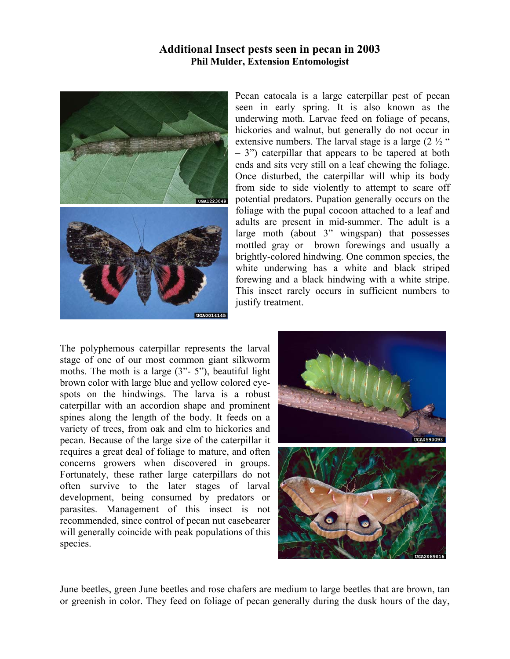#### **Additional Insect pests seen in pecan in 2003 Phil Mulder, Extension Entomologist**



Pecan catocala is a large caterpillar pest of pecan seen in early spring. It is also known as the underwing moth. Larvae feed on foliage of pecans, hickories and walnut, but generally do not occur in extensive numbers. The larval stage is a large  $(2 \frac{1}{2})^{\alpha}$ – 3") caterpillar that appears to be tapered at both ends and sits very still on a leaf chewing the foliage. Once disturbed, the caterpillar will whip its body from side to side violently to attempt to scare off potential predators. Pupation generally occurs on the foliage with the pupal cocoon attached to a leaf and adults are present in mid-summer. The adult is a large moth (about 3" wingspan) that possesses mottled gray or brown forewings and usually a brightly-colored hindwing. One common species, the white underwing has a white and black striped forewing and a black hindwing with a white stripe. This insect rarely occurs in sufficient numbers to justify treatment.

The polyphemous caterpillar represents the larval stage of one of our most common giant silkworm moths. The moth is a large  $(3" - 5")$ , beautiful light brown color with large blue and yellow colored eyespots on the hindwings. The larva is a robust caterpillar with an accordion shape and prominent spines along the length of the body. It feeds on a variety of trees, from oak and elm to hickories and pecan. Because of the large size of the caterpillar it requires a great deal of foliage to mature, and often concerns growers when discovered in groups. Fortunately, these rather large caterpillars do not often survive to the later stages of larval development, being consumed by predators or parasites. Management of this insect is not recommended, since control of pecan nut casebearer will generally coincide with peak populations of this species.



June beetles, green June beetles and rose chafers are medium to large beetles that are brown, tan or greenish in color. They feed on foliage of pecan generally during the dusk hours of the day,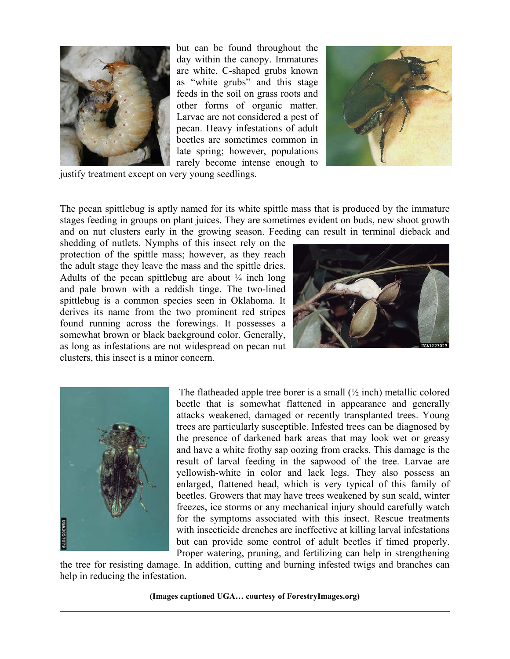

but can be found throughout the day within the canopy. Immatures are white, C-shaped grubs known as "white grubs" and this stage feeds in the soil on grass roots and other forms of organic matter. Larvae are not considered a pest of pecan. Heavy infestations of adult beetles are sometimes common in late spring; however, populations rarely become intense enough to



justify treatment except on very young seedlings.

The pecan spittlebug is aptly named for its white spittle mass that is produced by the immature stages feeding in groups on plant juices. They are sometimes evident on buds, new shoot growth and on nut clusters early in the growing season. Feeding can result in terminal dieback and

shedding of nutlets. Nymphs of this insect rely on the protection of the spittle mass; however, as they reach the adult stage they leave the mass and the spittle dries. Adults of the pecan spittlebug are about  $\frac{1}{4}$  inch long and pale brown with a reddish tinge. The two-lined spittlebug is a common species seen in Oklahoma. It derives its name from the two prominent red stripes found running across the forewings. It possesses a somewhat brown or black background color. Generally, as long as infestations are not widespread on pecan nut clusters, this insect is a minor concern.





 $\overline{a}$ 

The flatheaded apple tree borer is a small  $\frac{1}{2}$  inch) metallic colored beetle that is somewhat flattened in appearance and generally attacks weakened, damaged or recently transplanted trees. Young trees are particularly susceptible. Infested trees can be diagnosed by the presence of darkened bark areas that may look wet or greasy and have a white frothy sap oozing from cracks. This damage is the result of larval feeding in the sapwood of the tree. Larvae are yellowish-white in color and lack legs. They also possess an enlarged, flattened head, which is very typical of this family of beetles. Growers that may have trees weakened by sun scald, winter freezes, ice storms or any mechanical injury should carefully watch for the symptoms associated with this insect. Rescue treatments with insecticide drenches are ineffective at killing larval infestations but can provide some control of adult beetles if timed properly. Proper watering, pruning, and fertilizing can help in strengthening

the tree for resisting damage. In addition, cutting and burning infested twigs and branches can help in reducing the infestation.